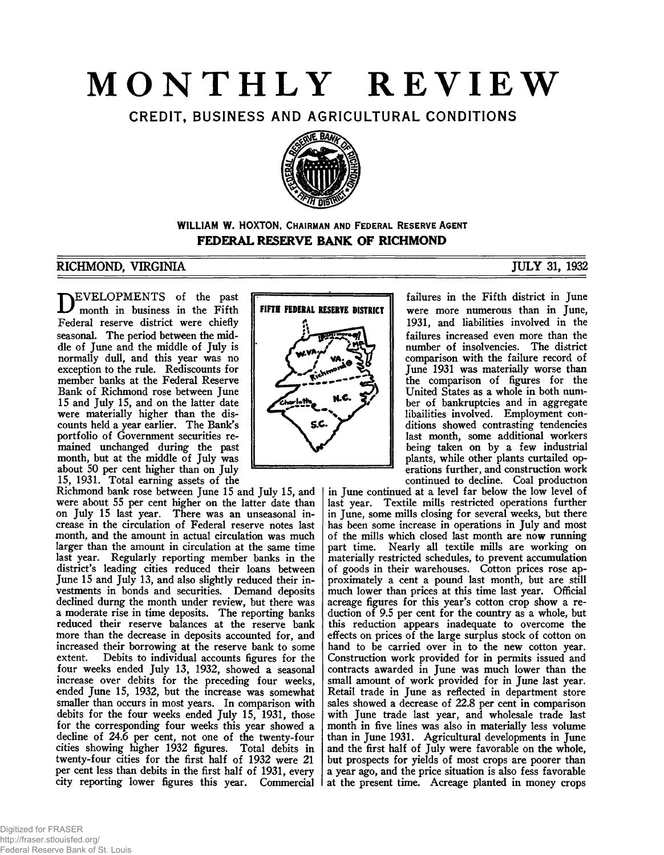# **MONTHLY REVIEW**

CREDIT, BUSINESS AND AGRICULTURAL CONDITIONS



# **WILLIAM W. HOXTON, CHAIRMAN AND FEDERAL RESERVE AGENT FEDERAL RESERVE BANK OF RICHMOND**

# RICHMOND, VIRGINIA JULY 31, 1932

EVELOPMENTS of the past month in business in the Fifth Federal reserve district were chiefly seasonal. The period between the middle of June and the middle of July is normally dull, and this year was no exception to the rule. Rediscounts for member banks at the Federal Reserve Bank of Richmond rose between June 15 and July 15, and on the latter date were materially higher than the discounts held a year earlier. The Bank's portfolio of Government securities remained unchanged during the past month, but at the middle of July was about 50 per cent higher than on July 15, 1931. Total earning assets of the

Richmond bank rose between June 15 and July 15, and were about 55 per cent higher on the latter date than on July 15 last year. There was an unseasonal increase in the circulation of Federal reserve notes last month, and the amount in actual circulation was much larger than the amount in circulation at the same time last year. Regularly reporting member banks in the district's leading cities reduced their loans between June 15 and July 13, and also slightly reduced their investments in bonds and securities. Demand deposits declined durng the month under review, but there was a moderate rise in time deposits. The reporting banks reduced their reserve balances at the reserve bank more than the decrease in deposits accounted for, and increased their borrowing at the reserve bank to some Debits to individual accounts figures for the four weeks ended July 13, 1932, showed a seasonal increase over debits for the preceding four weeks, ended June 15, 1932, but the increase was somewhat smaller than occurs in most years. In comparison with debits for the four weeks ended July 15, 1931, those for the corresponding four weeks this year showed a decline of 24.6 per cent, not one of the twenty-four cities showing higher 1932 figures. Total debits in twenty-four cities for the first half of 1932 were 21 per cent less than debits in the first half of 1931, every city reporting lower figures this year. Commercial



failures in the Fifth district in June were more numerous than in June, 1931, and liabilities involved in the failures increased even more than the number of insolvencies. The district comparison with the failure record of June 1931 was materially worse than the comparison of figures for the United States as a whole in both number of bankruptcies and in aggregate libailities involved. Employment conditions showed contrasting tendencies last month, some additional workers being taken on by a few industrial plants, while other plants curtailed operations further, and construction work continued to decline. Coal production

in June continued at a level far below the low level of last year. Textile mills restricted operations further in June, some mills closing for several weeks, but there has been some increase in operations in July and most of the mills which closed last month are now running part time. Nearly all textile mills are working on materially restricted schedules, to prevent accumulation of goods in their warehouses. Cotton prices rose approximately a cent a pound last month, but are still much lower than prices at this time last year. Official acreage figures for this year's cotton crop show a reduction of 9.5 per cent for the country as a whole, but this reduction appears inadequate to overcome the effects on prices of the large surplus stock of cotton on hand to be carried over in to the new cotton year. Construction work provided for in permits issued and contracts awarded in June was much lower than the small amount of work provided for in June last year. Retail trade in June as reflected in department store sales showed a decrease of 22.8 per cent in comparison with June trade last year, and wholesale trade last month in five lines was also in materially less volume than in June 1931. Agricultural developments in June and the first half of July were favorable on the whole, but prospects for yields of most crops are poorer than a year ago, and the price situation is also fess favorable at the present time. Acreage planted in money crops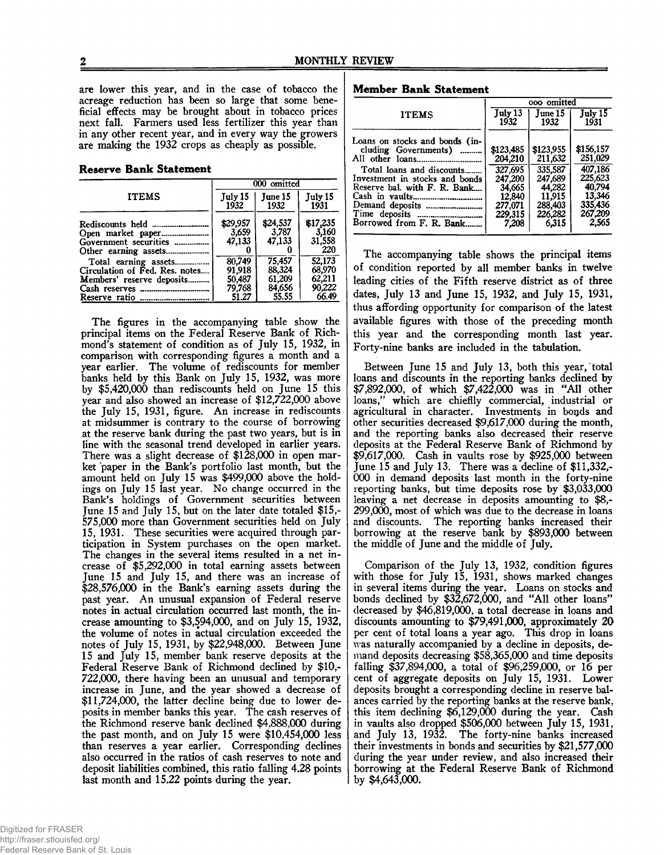are lower this year, and in the case of tobacco the acreage reduction has been so large that some beneficial effects may be brought about in tobacco prices next fall. Farmers used less fertilizer this year than in any other recent year, and in every way the growers are making the 1932 crops as cheaply as possible.

## **Reserve Bank Statement**

|                                                                                                                                      | 000 omitted                                   |                                               |                                               |
|--------------------------------------------------------------------------------------------------------------------------------------|-----------------------------------------------|-----------------------------------------------|-----------------------------------------------|
| <b>ITEMS</b>                                                                                                                         | July 15<br>1932                               | June 15<br>1932                               | July 15<br>1931                               |
| Government securities<br>Other earning assets<br>                                                                                    | \$29,957<br>3,659<br>47.133                   | \$24,537<br>3,787<br>47,133                   | \$17,235<br>3,160<br>31,558<br>220            |
| Total earning assets<br>Circulation of Fed. Res. notes<br>Members' reserve deposits<br>Cash reserves<br><br>Reserve ratio<br><b></b> | 80,749<br>91,918<br>50,487<br>79,768<br>51.27 | 75.457<br>88,324<br>61,209<br>84,656<br>55.55 | 32,173<br>68,970<br>62,211<br>90.222<br>66.49 |

The figures in the accompanying table show the principal items on the Federal Reserve Bank of Richmond's statement of condition as of July 15, 1932, in comparison with corresponding figures a month and a year earlier. The volume of rediscounts for member banks held by this Bank on July 15, 1932, was more by \$5,420,000 than rediscounts held on June 15 this year and also showed an increase of \$12,722,000 above the July 15, 1931, figure. An increase in rediscounts at midsummer is contrary to the course of borrowing at the reserve bank during the past two years, but is in line with the seasonal trend developed in earlier years. There was a slight decrease of \$128,000 in open market paper in the Bank's portfolio last month, but the amount held on July 15 was \$499,000 above the holdings on July 15 last year. No change occurred in the Bank's holdings of Government securities between June 15 and July 15, but on the later date totaled \$15,- 575,000 more than Government securities held on July 15, 1931. These securities were acquired through participation in System purchases on the open market. The changes in the several items resulted in a net increase of \$5,292,000 in total earning assets between June 15 and July 15, and there was an increase of \$28,576,000 in the Bank's earning assets during the past year. An unusual expansion of Federal reserve notes in actual circulation occurred last month, the increase amounting to \$3,594,000, and on July 15, 1932, the volume of notes in actual circulation exceeded the notes of July 15, 1931, by \$22,948,000. Between June 15 and July 15, member bank reserve deposits at the Federal Reserve Bank of Richmond declined by \$10,- 722,000, there having been an unusual and temporary increase in June, and the year showed a decrease of \$11,724,000, the latter decline being due to lower deposits in member banks this year. The cash reserves of the Richmond reserve bank declined \$4,888,000 during the past month, and on July 15 were \$10,454,000 less than reserves a year earlier. Corresponding declines also occurred in the ratios of cash reserves to note and deposit liabilities combined, this ratio falling 4.28 points last month and 15.22 points during the year.

**Member Bank Statement**

|                                                                                                                                                                                                                                                        | ooo omitted                                                                                   |                                                                                               |                                                                                               |
|--------------------------------------------------------------------------------------------------------------------------------------------------------------------------------------------------------------------------------------------------------|-----------------------------------------------------------------------------------------------|-----------------------------------------------------------------------------------------------|-----------------------------------------------------------------------------------------------|
| <b>ITEMS</b>                                                                                                                                                                                                                                           | July 13<br>1932                                                                               | June 15<br>1932                                                                               | July 15<br>1931                                                                               |
| Loans on stocks and bonds (in-<br>cluding Governments)<br>1.1.1.1.1.1.0<br>Total loans and discounts<br>Investment in stocks and bonds<br>Reserve bal. with F. R. Bank<br>Time deposits<br>-------------------------------<br>Borrowed from F. R. Bank | \$123,485<br>204.210<br>327,695<br>247.200<br>34,665<br>12,840<br>277,071<br>229,315<br>7.208 | \$123,955<br>211,632<br>335,587<br>247,689<br>44,282<br>11,915<br>288,403<br>226,282<br>6.315 | \$156,157<br>251,029<br>407,186<br>225,623<br>40.794<br>13,346<br>335,436<br>267,209<br>2.565 |

The accompanying table shows the principal items of condition reported by all member banks in twelve leading cities of the Fifth reserve district as of three dates, July 13 and June 15, 1932, and July 15, 1931, thus affording opportunity for comparison of the latest available figures with those of the preceding month this year and the corresponding month last year. Forty-nine banks are included in the tabulation.

Between June 15 and July 13, both this year, total loans and discounts in the reporting banks declined by \$7,892,000, of which \$7,422,000 was in "All other loans," which are chieflly commercial, industrial or agricultural in character. Investments in bonds and other securities decreased \$9,617,000 during the month, and the reporting banks also decreased their reserve deposits at the Federal Reserve Bank of Richmond by \$9,617,000. Cash in vaults rose by \$925,000 between June 15 and July 13. There was a decline of \$11,332,- 000 in demand deposits last month in the forty-nine reporting banks, but time deposits rose by \$3,033,000 leaving a net decrease in deposits amounting to \$8,- 299,000, most of which was due to the decrease in loans and discounts. The reporting banks increased their borrowing at the reserve bank by \$893,000 between the middle of June and the middle of July.

Comparison of the July 13, 1932, condition figures with those for July 15, 1931, shows marked changes in several items during the year. Loans on stocks and bonds declined by \$32,672,000, and "All other loans" decreased by \$46,819,000, a total decrease in loans and discounts amounting to \$79,491,000, approximately 20 per cent of total loans a year ago. This drop in loans was naturally accompanied by a decline in deposits, demand deposits decreasing \$58,365,000 and time deposits falling \$37,894,000, a total of \$96,259,000, or 16 per cent of aggregate deposits on July 15, 1931. Lower deposits brought a corresponding decline in reserve balances carried by the reporting banks at the reserve bank, this item declining \$6,129,000 during the year. Cash in vaults also dropped \$506,000 between July 15, 1931, and July 13, 1932. The forty-nine banks increased their investments in bonds and securities by \$21,577,000 during the year under review, and also increased their borrowing at the Federal Reserve Bank of Richmond by \$4,643,000.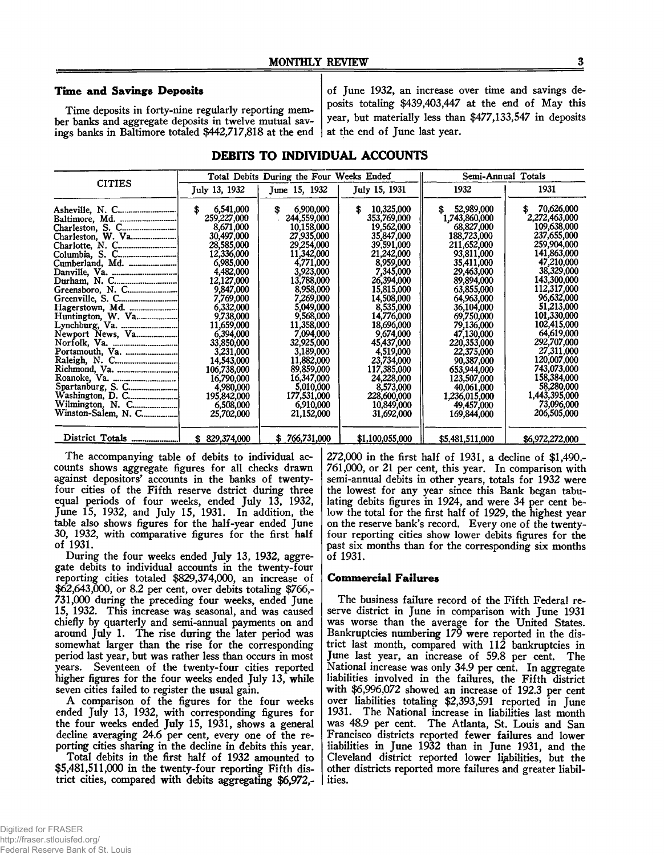## **Time and Savings Deposits**

Time deposits in forty-nine regularly reporting member banks and aggregate deposits in twelve mutual savings banks in Baltimore totaled \$442,717,818 at the end

of June 1932, an increase over time and savings deposits totaling \$439,403,447 at the end of May this year, but materially less than \$477,133,547 in deposits at the end of June last year.

# **DEBITS TO INDIVIDUAL ACCOUNTS**

|                                                           |                                                                                                                                                                                                                                                                                                                             | Total Debits During the Four Weeks Ended                                                                                                                                                                                                                                                                                    | Semi-Annual Totals                                                                                                                                                                                                                                                                                                                |                                                                                                                                                                                                                                                                                                                                                  |                                                                                                                                                                                                                                                                                                                                                        |
|-----------------------------------------------------------|-----------------------------------------------------------------------------------------------------------------------------------------------------------------------------------------------------------------------------------------------------------------------------------------------------------------------------|-----------------------------------------------------------------------------------------------------------------------------------------------------------------------------------------------------------------------------------------------------------------------------------------------------------------------------|-----------------------------------------------------------------------------------------------------------------------------------------------------------------------------------------------------------------------------------------------------------------------------------------------------------------------------------|--------------------------------------------------------------------------------------------------------------------------------------------------------------------------------------------------------------------------------------------------------------------------------------------------------------------------------------------------|--------------------------------------------------------------------------------------------------------------------------------------------------------------------------------------------------------------------------------------------------------------------------------------------------------------------------------------------------------|
| <b>CITIES</b>                                             | July 13, 1932                                                                                                                                                                                                                                                                                                               | June 15, 1932                                                                                                                                                                                                                                                                                                               | July 15, 1931                                                                                                                                                                                                                                                                                                                     | 1932                                                                                                                                                                                                                                                                                                                                             | 1931                                                                                                                                                                                                                                                                                                                                                   |
| Charleston, W. Va<br>Cumberland, Md.<br>Washington, D. C. | 6,541,000<br>\$<br>259,227,000<br>8,671,000<br>30,497,000<br>28,585,000<br>12,336,000<br>6,985,000<br>4,482,000<br>12,127,000<br>9,847,000<br>7,769,000<br>6,332,000<br>9,738,000<br>11,659,000<br>6.394,000<br>33,850,000<br>3,231,000<br>14.543.000<br>106,738,000<br>16,790,000<br>4,980,000<br>195,842,000<br>6,508,000 | 6,900,000<br>\$<br>244,559,000<br>10,158,000<br>27,935,000<br>29,254,000<br>11,342,000<br>4,771,000<br>3,923,000<br>13,788,000<br>8,958,000<br>7,269,000<br>5,049,000<br>9,568,000<br>11,358,000<br>7,094,000<br>32,925,000<br>3,189,000<br>11,882,000<br>89,859,000<br>16,347,000<br>5,010,000<br>177,531,000<br>6,910,000 | 10,325,000<br>\$<br>353,769,000<br>19,562,000<br>35,847,000<br>39,591,000<br>21,242,000<br>8,959,000<br>7,345,000<br>26,394,000<br>15,815,000<br>14,508,000<br>8,535,000<br>14.776.000<br>18,696,000<br>9,674,000<br>45,437,000<br>4,519,000<br>23,734,000<br>117,385,000<br>24,228,000<br>8,573,000<br>228,600,000<br>10,849,000 | 52,989,000<br>\$.<br>1,743,860,000<br>68,827,000<br>188,723,000<br>211,652,000<br>93,811,000<br>35,411,000<br>29,463,000<br>89.894,000<br>63,855,000<br>64,963,000<br>36,104,000<br>69,750,000<br>79,136,000<br>47.130.000<br>220,353,000<br>22,375,000<br>90,387,000<br>653,944,000<br>123,507,000<br>40.061.000<br>1,236,015,000<br>49,457,000 | 70,626,000<br>\$<br>2,272,463,000<br>109,638,000<br>237,655,000<br>259,904,000<br>141,863,000<br>47,210,000<br>38,329,000<br>143,300,000<br>112,317,000<br>96,632,000<br>51,213,000<br>101,330,000<br>102,415,000<br>64,619,000<br>292,707,000<br>27,311,000<br>120,007,000<br>743,073,000<br>158,384,000<br>58,280,000<br>1,443,395,000<br>73,096,000 |
|                                                           | 25,702,000                                                                                                                                                                                                                                                                                                                  | 21,152,000                                                                                                                                                                                                                                                                                                                  | 31,692,000                                                                                                                                                                                                                                                                                                                        | 169,844,000                                                                                                                                                                                                                                                                                                                                      | 206,505,000                                                                                                                                                                                                                                                                                                                                            |
|                                                           | \$829,374,000                                                                                                                                                                                                                                                                                                               | 766,731,000<br>S                                                                                                                                                                                                                                                                                                            | \$1,100,055,000                                                                                                                                                                                                                                                                                                                   | \$5,481,511,000                                                                                                                                                                                                                                                                                                                                  | \$6,972,272,000                                                                                                                                                                                                                                                                                                                                        |

The accompanying table of debits to individual accounts shows aggregate figures for all checks drawn against depositors' accounts in the banks of twentyfour cities of the Fifth reserve dstrict during three equal periods of four weeks, ended July 13, 1932, June 15, 1932, and July 15, 1931. In addition, the table also shows figures for the half-year ended June 30, 1932, with comparative figures for the first half of 1931.

During the four weeks ended July 13, 1932, aggregate debits to individual accounts in the twenty-four reporting cities totaled \$829,374,000, an increase of \$62,643,000, or 8.2 per cent, over debits totaling \$766,- 731,000 during the preceding four weeks, ended June 15, 1932. This increase was seasonal, and was caused chiefly by quarterly and semi-annual payments on and around July 1. The rise during the later period was somewhat larger than the rise for the corresponding period last year, but was rather less than occurs in most years. Seventeen of the twenty-four cities reported higher figures for the four weeks ended July 13, while seven cities failed to register the usual gain.

A comparison of the figures for the four weeks ended July 13, 1932, with corresponding figures for the four weeks ended July 15, 1931, shows a general decline averaging 24.6 per cent, every one of the reporting cities sharing in the decline in debits this year.

Total debits in the first half of 1932 amounted to \$5,481,511,000 in the twenty-four reporting Fifth district cities, compared with debits aggregating \$6,972,- 272,000 in the first half of 1931, a decline of \$1,490,- 761,000, or 21 per cent, this year. In comparison with semi-annual debits in other years, totals for 1932 were the lowest for any year since this Bank began tabulating debits figures in 1924, and were 34 per cent below the total for the first half of 1929, the highest year on the reserve bank's record. Every one of the twentyfour reporting cities show lower debits figures for the past six months than for the corresponding six months of 1931.

# **Commercial Failures**

The business failure record of the Fifth Federal reserve district in June in comparison with June 1931 was worse than the average for the United States. Bankruptcies numbering 179 were reported in the district last month, compared with 112 bankruptcies in June last year, an increase of 59.8 per cent. The National increase was only 34.9 per cent. In aggregate liabilities involved in the failures, the Fifth district with \$6,996,072 showed an increase of 192.3 per cent over liabilities totaling \$2,393,591 reported in June 1931. The National increase in liabilities last month was 48.9 per cent. The Atlanta, St. Louis and San Francisco districts reported fewer failures and lower liabilities in June 1932 than in June 1931, and the Cleveland district reported lower liabilities, but the other districts reported more failures and greater liabilities.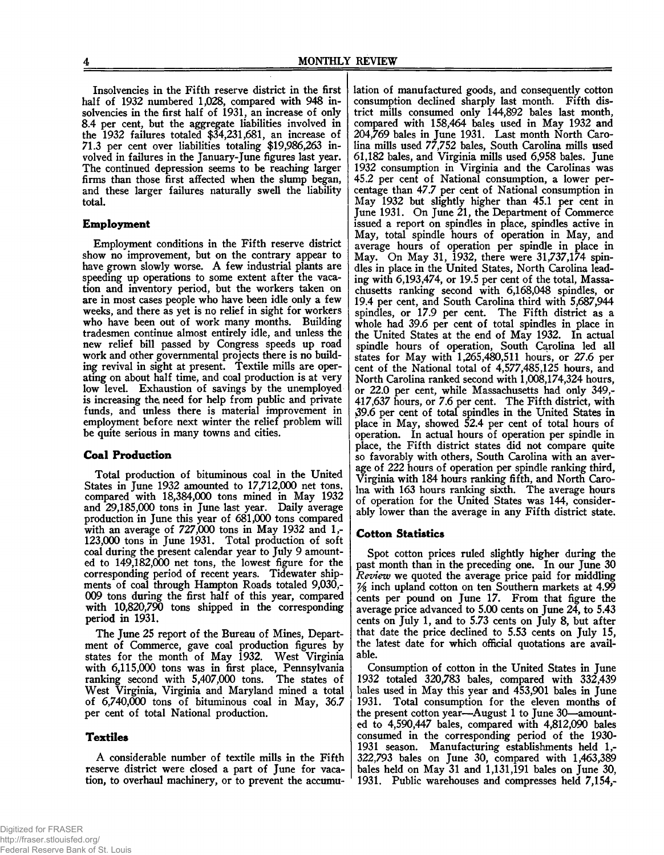Insolvencies in the Fifth reserve district in the first half of 1932 numbered 1,028, compared with 948 insolvencies in the first half of 1931, an increase of only 8.4 per cent, but the aggregate liabilities involved in the 1932 failures totaled \$34,231,681, an increase of 71.3 per cent over liabilities totaling \$19,986,263 involved in failures in the January-June figures last year. The continued depression seems to be reaching larger firms than those first affected when the slump began, and these larger failures naturally swell the liability total.

## **Employment**

Employment conditions in the Fifth reserve district show no improvement, but on the contrary appear to have grown slowly worse. A few industrial plants are speeding up operations to some extent after the vacation and inventory period, but the workers taken on are in most cases people who have been idle only a few weeks, and there as yet is no relief in sight for workers who have been out of work many months. Building tradesmen continue almost entirely idle, and unless the new relief bill passed by Congress speeds up road work and other governmental projects there is no building revival in sight at present. Textile mills are operating on about half time, and coal production is at very low level. Exhaustion of savings by the unemployed is increasing the, need for help from public and private funds, and unless there is material improvement in employment before next winter the relief problem will be quite serious in many towns and cities.

#### **Coal Production**

Total production of bituminous coal in the United States in June 1932 amounted to 17,712,000 net tons, compared with 18,384,000 tons mined in May 1932 and 29,185,000 tons in June last year. Daily average production in June this year of 681,000 tons compared with an average of 727,000 tons in May 1932 and 1,- 123,000 tons in June 1931. Total production of soft coal during the present calendar year to July 9 amounted to 149,182,000 net tons, the lowest figure for the corresponding period of recent years. Tidewater shipments of coal through Hampton Roads totaled 9,030,- 009 tons during the first half of this year, compared with 10,820,790 tons shipped in the corresponding period in 1931.

The June 25 report of the Bureau of Mines, Department of Commerce, gave coal production figures by states for the month of May 1932. West Virginia with 6,115,000 tons was in first place, Pennsylvania ranking second with 5,407,000 tons. The states of West Virginia, Virginia and Maryland mined a total of 6,740,000 tons of bituminous coal in May, 36.7 per cent of total National production.

#### **T extiles**

A considerable number of textile mills in the Fifth reserve district were closed a part of June for vacation, to overhaul machinery, or to prevent the accumu-

lation of manufactured goods, and consequently cotton consumption declined sharply last month. Fifth district mills consumed only 144,892 bales last month, compared with 158,464 bales used in May 1932 and 204,769 bales in June 1931. Last month North Carolina mills used 77,752 bales, South Carolina mills used 61,182 bales, and Virginia mills used 6,958 bales. June 1932 consumption in Virginia and the Carolinas was 45.2 per cent of National consumption, a lower percentage than 47.7 per cent of National consumption in May 1932 but slightly higher than 45.1 per cent in June 1931. On June 21, the Department of Commerce issued a report on spindles in place, spindles active in May, total spindle hours of operation in May, and average hours of operation per spindle in place in May. On May 31, 1932, there were 31,737,174 spindles in place in the United States, North Carolina leading with 6,193,474, or 19.5 per cent of the total, Massachusetts ranking second with 6,168,048 spindles, or 19.4 per cent, and South Carolina third with 5,687,944 spindles, or 17.9 per cent. The Fifth district as a whole had 39.6 per cent of total spindles in place in the United States at the end of May 1932. In actual spindle hours of operation, South Carolina led all states for May with 1,265,480,511 hours, or 27.6 per cent of the National total of 4,577,485,125 hours, and North Carolina ranked second with 1,008,174,324 hours, or 22.0 per cent, while Massachusetts had only 349,- 417,637 hours, or 7.6 per cent. The Fifth district, with 39.6 per cent of total spindles in the United States in place in May, showed 52.4 per cent of total hours of operation. In actual hours of operation per spindle in place, the Fifth district states did not compare quite so favorably with others, South Carolina with an average of 222 hours of operation per spindle ranking third, Virginia with 184 hours ranking fifth, and North Carolna with 163 hours ranking sixth. The average hours of operation for the United States was 144, considerably lower than the average in any Fifth district state.

# **Cotton Statistics**

Spot cotton prices ruled slightly higher during the past month than in the preceding one. In our June 30 *Review* we quoted the average price paid for middling inch upland cotton on ten Southern markets at 4.99 cents per pound on June 17. From that figure the average price advanced to  $5.00$  cents on June  $24$ , to  $5.43$ cents on July 1, and to 5.73 cents on July 8, but after that date the price declined to 5.53 cents on July 15, the latest date for which official quotations are available.

Consumption of cotton in the United States in June 1932 totaled 320,783 bales, compared with 332,439 bales used in May this year and 453,901 bales in June 1931. Total consumption for the eleven months of the present cotton year—August 1 to June 30—amounted to 4,590,447 bales, compared with 4,812,090 bales consumed in the corresponding period of the 1930- 1931 season. Manufacturing establishments held 1,- 322,793 bales on June 30, compared with 1,463,389 bales held on May 31 and 1,131,191 bales on June 30, 1931. Public warehouses and compresses held 7,154,-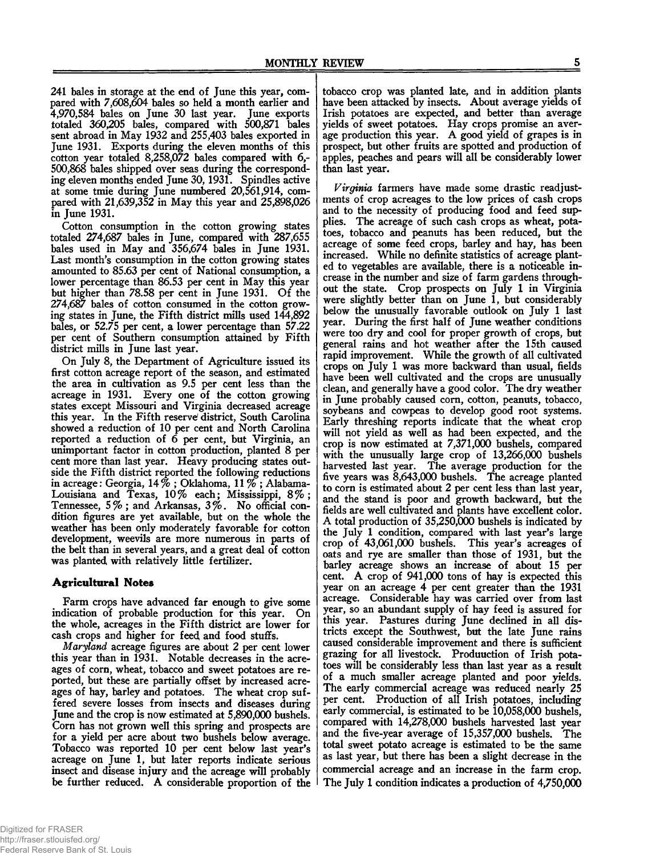241 bales in storage at the end of June this year, compared with 7,608,604 bales so held a month earlier and 4,970,584 bales on June 30 last year. June exports totaled 360,205 bales, compared with 500,871 bales sent abroad in May 1932 and 255,403 bales exported in June 1931. Exports during the eleven months of this cotton year totaled 8,258,072 bales compared with 6,- 500,868 bales shipped over seas during the corresponding eleven months ended June 30,1931. Spindles active at some tmie during June numbered 20,561,914, compared with 21,639,352 in May this year and 25,898,026 in June 1931.

Cotton consumption in the cotton growing states totaled 274,687 bales in June, compared with 287,655 bales used in May and 356,674 bales in June 1931. Last month's consumption in the cotton growing states amounted to 85.63 per cent of National consumption, a lower percentage than 86.53 per cent in May this year but higher than 78.58 per cent in June 1931. Of the 274,687 bales of cotton consumed in the cotton growing states in June, the Fifth district mills used 144,892 bales, or 52.75 per cent, a lower percentage than 57.22 per cent of Southern consumption attained by Fifth district mills in June last year.

On July 8, the Department of Agriculture issued its first cotton acreage report of the season, and estimated the area in cultivation as 9.5 per cent less than the acreage in 1931. Every one of the cotton growing states except Missouri and Virginia decreased acreage this year. In the Fifth reserve' district, South Carolina showed a reduction of 10 per cent and North Carolina reported a reduction of 6 per cent, but Virginia, an unimportant factor in cotton production, planted 8 per cent more than last year. Heavy producing states outside the Fifth district reported the following reductions in acreage: Georgia, 14% ; Oklahoma, 11 % ; Alabama-Louisiana and Texas, 10% each; Mississippi, 8%; Tennessee, 5% ; and Arkansas, 3%. No official condition figures are yet available, but on the whole the weather has been only moderately favorable for cotton development, weevils are more numerous in parts of the belt than in several years, and a great deal of cotton was planted with relatively little fertilizer.

# **Agricultural Notes**

Farm crops have advanced far enough to give some dication of probable production for this year. On indication of probable production for this year. the whole, acreages in the Fifth district are lower for cash crops and higher for feed and food stuffs.

*Maryland* acreage figures are about 2 per cent lower this year than in 1931. Notable decreases in the acreages of corn, wheat, tobacco and sweet potatoes are reported, but these are partially offset by increased acreages of hay, barley and potatoes. The wheat crop suffered severe losses from insects and diseases during June and the crop is now estimated at 5,890,000 bushels. Corn has not grown well this spring and prospects are for a yield per acre about two bushels below average. Tobacco was reported 10 per cent below last year's acreage on June 1, but later reports indicate serious insect and disease injury and the acreage will probably be further reduced. A considerable proportion of the

Federal Reserve Bank of St. Louis

tobacco crop was planted late, and in addition plants have been attacked by insects. About average yields of Irish potatoes are expected, and better than average yields of sweet potatoes. Hay crops promise an average production this year. A good yield of grapes is in prospect, but other fruits are spotted and production of apples, peaches and pears will all be considerably lower than last year.

*Virginia* farmers have made some drastic readjustments of crop acreages to the low prices of cash crops and to the necessity of producing food and feed supplies. The acreage of such cash crops as wheat, potatoes, tobacco and peanuts has been reduced, but the acreage of some feed crops, barley and hay, has been increased. While no definite statistics of acreage planted to vegetables are available, there is a noticeable increase in the number and size of farm gardens throughout the state. Crop prospects on July 1 in Virginia were slightly better than on June 1, but considerably below the unusually favorable outlook on July 1 last year. During the first half of June weather conditions were too dry and cool for proper growth of crops, but general rains and hot weather after the 15th caused rapid improvement. While the growth of all cultivated crops on July 1 was more backward than usual, fields have been well cultivated and the crops are unusually clean, and generally have a good color. The dry weather in June probably caused corn, cotton, peanuts, tobacco, soybeans and cowpeas to develop good root systems. Early threshing reports indicate that the wheat crop will not yield as well as had been expected, and the crop is now estimated at 7,371,000 bushels, compared with the unusually large crop of 13,266,000 bushels harvested last year. The average production for the five years was 8,643,000 bushels. The acreage planted to corn is estimated about 2 per cent less than last year, and the stand is poor and growth backward, but the fields are well cultivated and plants have excellent color. A total production of 35,250,000 bushels is indicated by the July 1 condition, compared with last year's large crop of 43,061,000 bushels. This year's acreages of oats and rye are smaller than those of 1931, but the barley acreage shows an increase of about 15 per cent. A crop of 941,000 tons of hay is expected this year on an acreage 4 per cent greater than the 1931 acreage. Considerable hay was carried over from last year, so an abundant supply of hay feed is assured for this year. Pastures during June declined in all districts except the Southwest, but the late June rains caused considerable improvement and there is sufficient grazing for all livestock. Produuction of Irish potatoes will be considerably less than last year as a result of a much smaller acreage planted and poor yields. The early commercial acreage was reduced nearly 25 per cent. Production of all Irish potatoes, including early commercial, is estimated to be 10,058,000 bushels, compared with 14,278,000 bushels harvested last year and the five-year average of 15,357,000 bushels. The total sweet potato acreage is estimated to be the same as last year, but there has been a slight decrease in the commercial acreage and an increase in the farm crop. The July 1 condition indicates a production of 4,750,000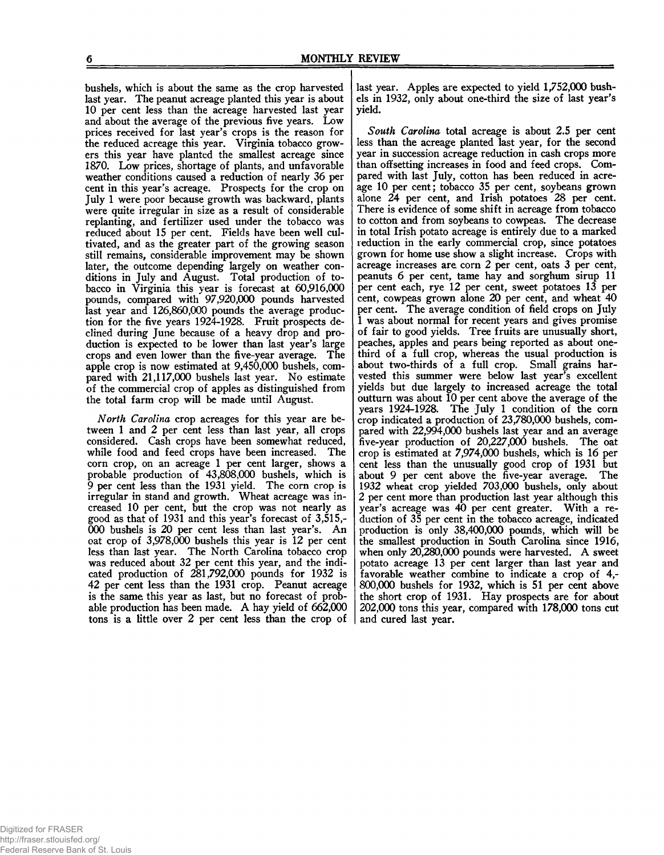bushels, which is about the same as the crop harvested last year. The peanut acreage planted this year is about 10 per cent less than the acreage harvested last year and about the average of the previous five years. Low prices received for last year's crops is the reason for the reduced acreage this year. Virginia tobacco growers this year have planted the smallest acreage since 1870. Low prices, shortage of plants, and unfavorable weather conditions caused a reduction of nearly 36 per cent in this year's acreage. Prospects for the crop on July 1 were poor because growth was backward, plants were quite irregular in size as a result of considerable replanting, and fertilizer used under the tobacco was reduced about 15 per cent. Fields have been well cultivated, and as the greater part of the growing season still remains, considerable improvement may be shown later, the outcome depending largely on weather conditions in July and August. Total production of tobacco in Virginia this year is forecast at 60,916,000 pounds, compared with 97,920,000 pounds harvested last year and 126,860,000 pounds the average production for the five years 1924-1928. Fruit prospects declined during June because of a heavy drop and production is expected to be lower than last year's large crops and even lower than the five-year average. The apple crop is now estimated at 9,450,000 bushels, compared with 21,117,000 bushels last year. No estimate of the commercial crop of apples as distinguished from the total farm crop will be made until August.

*North Carolina* crop acreages for this year are between 1 and 2 per cent less than last year, all crops considered. Cash crops have been somewhat reduced, while food and feed crops have been increased. The corn crop, on an acreage 1 per cent larger, shows a probable production of 43,808,000 bushels, which is 9 per cent less than the 1931 yield. The corn crop is irregular in stand and growth. Wheat acreage was increased 10 per cent, but the crop was not nearly as good as that of 1931 and this year's forecast of 3,515,- 000 bushels is 20 per cent less than last year's. An oat crop of 3,978,000 bushels this year is 12 per cent less than last year. The North Carolina tobacco crop was reduced about 32 per cent this year, and the indicated production of 281,792,000 pounds for 1932 is 42 per cent less than the 1931 crop. Peanut acreage is the same this year as last, but no forecast of probable production has been made. A hay yield of 662,000 tons is a little over 2 per cent less than the crop of

last year. Apples are expected to yield 1,752,000 bushels in 1932, only about one-third the size of last year's yield.

*South Carolina* total acreage is about 2.5 per cent less than the acreage planted last year, for the second year in succession acreage reduction in cash crops more than offsetting increases in food and feed crops. Compared with last July, cotton has been reduced in acreage 10 per cent; tobacco 35 per cent, soybeans grown alone 24 per cent, and Irish potatoes 28 per cent. There is evidence of some shift in acreage from tobacco to cotton and from soybeans to cowpeas. The decrease in total Irish potato acreage is entirely due to a marked reduction in the early commercial crop, since potatoes grown for home use show a slight increase. Crops with acreage increases are corn 2 per cent, oats 3 per cent, peanuts 6 per cent, tame hay and sorghum sirup 11 per cent each, rye 12 per cent, sweet potatoes 13 per cent, cowpeas grown alone 20 per cent, and wheat 40 per cent. The average condition of field crops on July 1 was about normal for recent years and gives promise of fair to good yields. Tree fruits are unusually short, peaches, apples and pears being reported as about onethird of a full crop, whereas the usual production is about two-thirds of a full crop. Small grains harvested this summer were below last year's excellent yields but due largely to increased acreage the total outturn was about 10 per cent above the average of the years 1924-1928. The July 1 condition of the corn crop indicated a production of 23,780,000 bushels, compared with 22,994,000 bushels last year and an average five-year production of 20,227,000 bushels. The oat crop is estimated at 7,974,000 bushels, which is 16 per cent less than the unusually good crop of 1931 but about 9 per cent above the five-year average. The 1932 wheat crop yielded 703,000 bushels, only about 2 per cent more than production last year although this year's acreage was 40 per cent greater. With a reduction of 35 per cent in the tobacco acreage, indicated production is only 38,400,000 pounds, which will be the smallest production in South Carolina since 1916, when only 20,280,000 pounds were harvested. A sweet potato acreage 13 per cent larger than last year and favorable weather combine to indicate a crop of 4,- 800.000 bushels for 1932, which is 51 per cent above the short crop of 1931. Hay prospects are for about 202.000 tons this year, compared with 178,000 tons cut and cured last year.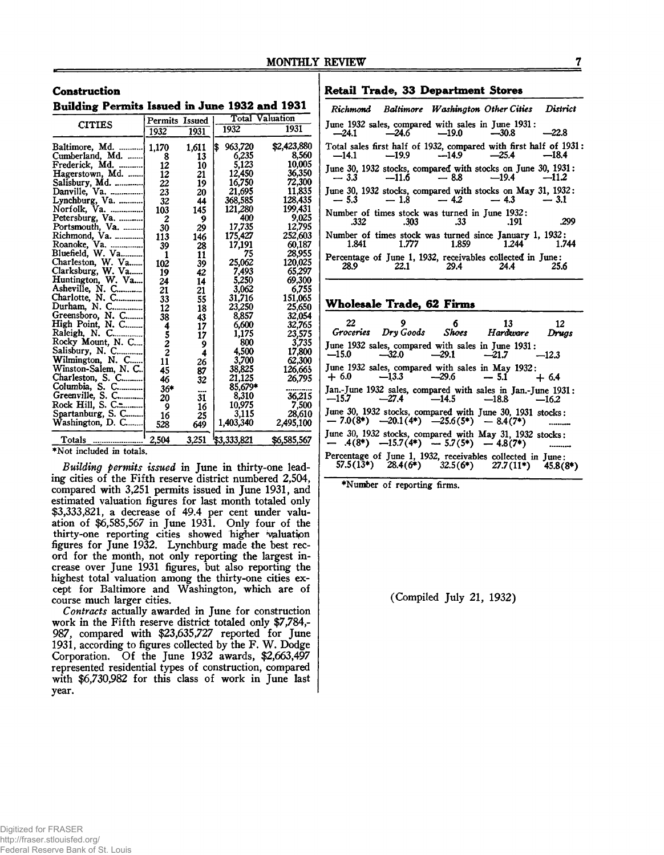**Building Permits Issued in June 1932 and 1931**

| <b>CITIES</b>       | Permits Issued |        |               | <b>Total Valuation</b> |
|---------------------|----------------|--------|---------------|------------------------|
|                     | 1932           | 1931   | 1932          | 1931                   |
| Baltimore, Md.      | 1,170          | 1,611  | 963,720<br>\$ | \$2,423,880            |
| Cumberland, Md.     | 8              | 13     | 6,235         | 8.560                  |
| Frederick, Md.      | 12             | 10     | 5,123         | 10.005                 |
| Hagerstown, Md.     | 12             | 21     | 12,450        | 36,350                 |
|                     | 22             | 19     | 16,750        | 72.300                 |
|                     | 23             | 20     | 21,695        | 11.835                 |
| Lynchburg, Va.      | 32             | 44     | 368,585       | 128,435                |
| Norfolk, Va.        | 103            | 145    | 121,280       | 199,431                |
| Petersburg, Va.     | 2              | 9      | 400           | 9.025                  |
| Portsmouth, Va.     | 30             | 29     | 17,735        | 12,795                 |
| Richmond, Va.       | 113            | 146    | 175,427       | 252,603                |
| Roanoke, Va.        | 39             | 28     | 17,191        | 60,187                 |
| Bluefield. W. Va    | 1              | 11     | 75            | 28,955                 |
| Charleston, W. Va   | 102            | 39     | 25,062        | 120,025                |
| Clarksburg, W. Va   | 19             | 42     | 7,493         | 65.297                 |
| Huntington, W. Va   | 24             | 14     | 5,250         | 69,300                 |
| Asheville, N. C     | 21             | 21     | 3,062         | 6.755                  |
| Charlotte, N. C     | 33             | 55     | 31,716        | 151,065                |
| Durham, N. C        | 12             | 18     | 23,250        | 25,650                 |
| Greensboro, N. C    | 38             | 43     | 8,857         | 32,054                 |
| High Point, N. C    | 4              | 17     | 6,600         | 32,765                 |
| Raleigh, N. C       |                | 17     | 1,175         | 23,575                 |
| Rocky Mount, N. C   |                | 9      | 800           | 3,735                  |
| Salisbury, N. C     | $\frac{5}{2}$  | 4      | 4.500         | <b>17.800</b>          |
| Wilmington, N. C    | 11             | 26     | 3,700         | 62,300                 |
| Winston-Salem, N. C | 45             | 87     | 38,825        | 126,665                |
| Charleston, S. C    | 46             | 32     | 21.125        | 26,795                 |
| Columbia, S. C      | 36*            |        | 85.679*       |                        |
| Greenville, S. C    | 20             | <br>31 | 8.310         | 36.215                 |
| Rock Hill, S. C.    | 9              | 16     | 10.975        | 7.500                  |
| Spartanburg, S. C   | 16             | 25     | 3.115         | 28,610                 |
| Washington, D. C    | 528            | 649    | 1,403,340     | 2,495,100              |
| Totals              | 2,504          | 3,251  | \$3,333,821   | \$6,585,567            |

## **Retail Trade, 33 Department Stores**

|                                                                         |                    | Richmond Baltimore Washington Other Cities District |            |
|-------------------------------------------------------------------------|--------------------|-----------------------------------------------------|------------|
| June 1932 sales, compared with sales in June 1931:                      |                    | $-24.1$ $-24.6$ $-19.0$ $-30.8$ $-22.8$             |            |
| Total sales first half of 1932, compared with first half of 1931:       |                    | $-14.1$ $-19.9$ $-14.9$ $-25.4$ $-18.4$             |            |
| June 30, 1932 stocks, compared with stocks on June 30, 1931:            |                    | $-3.3$ $-11.6$ $-8.8$ $-19.4$ $-11.2$               |            |
| June 30, 1932 stocks, compared with stocks on May 31, 1932:             |                    | $-5.3$ $-1.8$ $-4.2$ $-4.3$ $-3.1$                  |            |
| Number of times stock was turned in June 1932:                          | .332 .303 .33 .191 |                                                     | $\sim$ 299 |
| Number of times stock was turned since January 1, 1932:                 |                    | 1.841 1.777 1.859 1.244 1.744                       |            |
| Percentage of June 1, 1932, receivables collected in June:<br>28.9 22.1 | $29.4$ 24.4        |                                                     |            |

#### **W holesale Trade, 62 Firms**

| 22      | - 9                                               | $\sim$ 6 | $\overline{\mathbf{13}}$<br>Groceries Dry Goods Shoes Hardware Drugs                                       | - 12       |
|---------|---------------------------------------------------|----------|------------------------------------------------------------------------------------------------------------|------------|
| $-15.0$ | $-32.0$ $-29.1$ $-21.7$                           |          | June 1932 sales, compared with sales in June 1931:                                                         | $-12.3$    |
|         |                                                   |          | June 1932 sales, compared with sales in May 1932:<br>$+6.0$ $-13.3$ $-29.6$ $-5.1$ $+6.4$                  |            |
|         |                                                   |          | Jan.-June 1932 sales, compared with sales in Jan.-June 1931:<br>$-15.7$ $-27.4$ $-14.5$ $-18.8$ $-16.2$    |            |
|         | $-7.0(8^*)$ $-20.1(4^*)$ $-25.6(5^*)$ $-8.4(7^*)$ |          | June 30, 1932 stocks, compared with June 30, 1931 stocks:                                                  |            |
|         |                                                   |          | June 30, 1932 stocks, compared with May 31, 1932 stocks:<br>$-4(8^*)$ $-15.7(4^*)$ $-5.7(5^*)$ $-4.8(7^*)$ |            |
|         |                                                   |          | Percentage of June 1, 1932, receivables collected in June:<br>57.5(13*) 28.4(6*) 32.5(6*) 27.7(11*) 45.8(8 | $45.8(8*)$ |

♦Number of reporting firms.

(Compiled July 21, 1932)

♦Not included in totals.

*Building permits issued* in June in thirty-one leading cities of the Fifth reserve district numbered 2,504, compared with 3,251 permits issued in June 1931, and estimated valuation figures for last month totaled only \$3,333,821, a decrease of 49.4 per cent under valuation of \$6,585,567 in June 1931. Only four of the thirty-one reporting cities showed higher valuation figures for June 1932. Lynchburg made the best record for the month, not only reporting the largest increase over June 1931 figures, but also reporting the highest total valuation among the thirty-one cities except for Baltimore and Washington, which are of course much larger cities.

*Contracts* actually awarded in June for construction work in the Fifth reserve district totaled only \$7,784,- 987, compared with \$23,635,727 reported for June 1931, according to figures collected by the F. W. Dodge Corporation. Of the June 1932 awards, \$2,663,497 represented residential types of construction, compared with \$6,730,982 for this class of work in June last year.